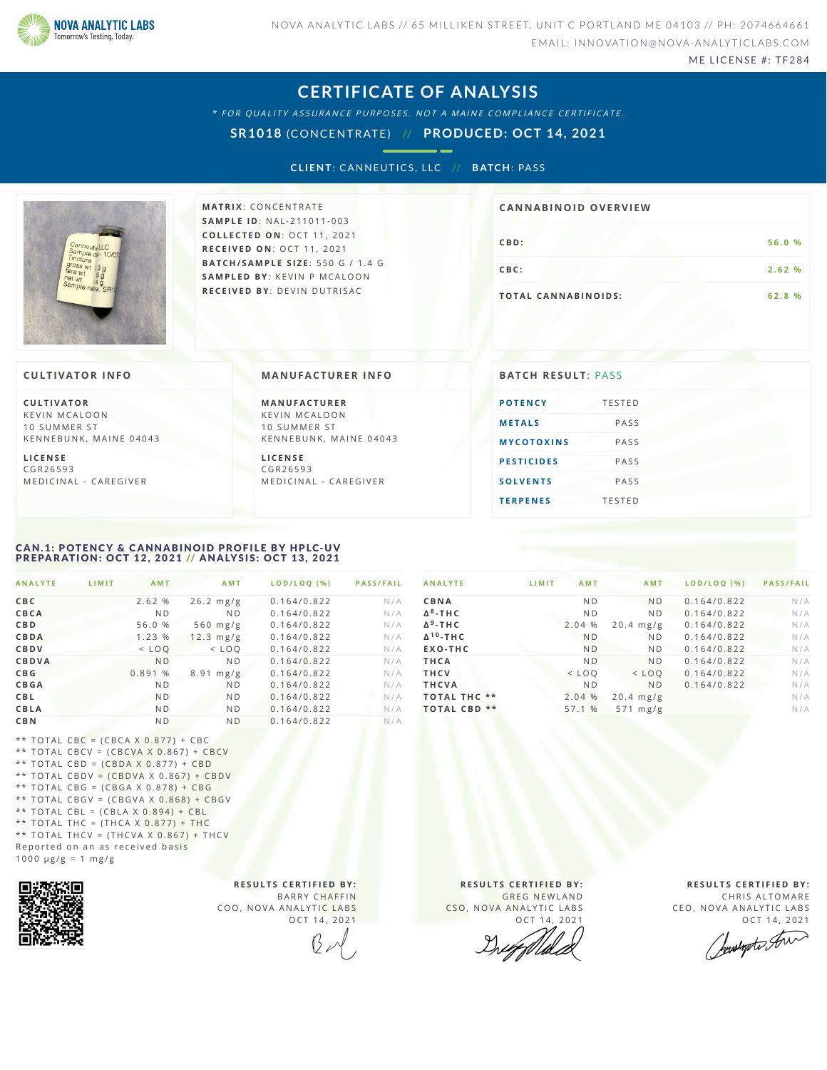

ME LICENSE #: TF284

### **CERTIFICATE OF ANALYSIS**

\* FOR QUALITY ASSURANCE PURPOSES. NOT A MAINE COMPLIANCE CERTIFICATE.

**SR1018** (CONCENTRATE) // **PRODUCED: OCT 14, 2021**

**CL IENT**: CANNEUTICS ,L LC // **B ATCH**: PAS S



**M AT R I X** :C O N C E N T R A T E **SA M P L E I D** :N A L - 2 1 1 0 1 1 - 0 0 3 **C O L L E C T E D O N** :O C T 1 1 , 2 0 2 1 **R E C E I V E D O N** : O C T 1 1 , 2 0 2 1 **BAT C H / SA M P L E S I Z E** : 5 5 0 G / 1 . 4 G **SA M P L E D BY** : K E V I N P M C A L O O N **R E C E I V E D BY** : D E V I N D U T R I S A C

# **CB D :5 6 . 0 % CBC: 2.62 % TOTAL CANNABINOIDS:** 62.8 % **CA N N ABI N OID OVERVI EW**

#### **CULTIVATOR I N FO**

**C U L T I VAT O R** K F V IN M CALOON 10 SUMMER ST KENNEBUNK, MAINE 04043

**L I C E N S E** C G R 2 6 5 9 3 M E D I C I N A L - CARE G I VER **MANUFACTURER INFO** 

**M A N U FAC T U R E R** K F V I N M C A L O O N 10 SUMMER ST KENNEBUNK, MAINE 04043

**L I C E N S E** C G R 2 6 5 9 3 M E D I C I N A L - CARE G I VER

| <b>POTENCY</b>    | <b>TESTED</b> |
|-------------------|---------------|
| <b>METALS</b>     | PASS          |
| <b>MYCOTOXINS</b> | PASS          |
| <b>PESTICIDES</b> | PASS          |
| <b>SOLVENTS</b>   | PASS          |
| <b>TERPENES</b>   | <b>TESTED</b> |

#### <span id="page-0-0"></span>CAN.1: POTENCY & CANNABINOID PROFILE BY HPLC-UV PREPARATION: OCT 12, 2021 // ANALYSIS: OCT 13, 2021

| <b>ANALYTE</b><br>LIMIT | <b>AMT</b>     | AMT            | LOD/LOQ (%) | <b>PASS/FAIL</b> |
|-------------------------|----------------|----------------|-------------|------------------|
| CBC                     | 2.62 %         | $26.2$ mg/g    | 0.164/0.822 | N/A              |
| CBCA                    | N <sub>D</sub> | N <sub>D</sub> | 0.164/0.822 | N/A              |
| <b>CBD</b>              | 56.0 %         | 560 $mg/g$     | 0.164/0.822 | N/A              |
| <b>CBDA</b>             | 1.23 %         | $12.3$ mg/g    | 0.164/0.822 | N/A              |
| CBDV                    | $<$ LOQ        | $<$ LOQ        | 0.164/0.822 | N/A              |
| CBDVA                   | N <sub>D</sub> | N <sub>D</sub> | 0.164/0.822 | N/A              |
| C B G                   | 0.891 %        | $8.91$ mg/g    | 0.164/0.822 | N/A              |
| <b>CBGA</b>             | N <sub>D</sub> | <b>ND</b>      | 0.164/0.822 | N/A              |
| <b>CBL</b>              | N <sub>D</sub> | <b>ND</b>      | 0.164/0.822 | N/A              |
| CBLA                    | N <sub>D</sub> | N <sub>D</sub> | 0.164/0.822 | N/A              |
| <b>CBN</b>              | N <sub>D</sub> | N <sub>D</sub> | 0.164/0.822 | N/A              |

| <b>ANALYTE</b>            | LIMIT   | <b>AMT</b>     | <b>AMT</b>         | LOD/LOO (%) | <b>PASS/FAIL</b> |
|---------------------------|---------|----------------|--------------------|-------------|------------------|
| CBNA                      |         | N <sub>D</sub> | N <sub>D</sub>     | 0.164/0.822 | N/A              |
| $\Delta^8$ -THC           |         | N <sub>D</sub> | N <sub>D</sub>     | 0.164/0.822 | N/A              |
| $\Delta^9$ -THC           | 2.04 %  |                | $20.4$ mg/g        | 0.164/0.822 | N/A              |
| $\Delta^{10}$ -THC        |         | <b>ND</b>      | N <sub>D</sub>     | 0.164/0.822 | N/A              |
| EXO-THC                   |         | <b>ND</b>      | N <sub>D</sub>     | 0.164/0.822 | N/A              |
| THCA                      |         | N <sub>D</sub> | N <sub>D</sub>     | 0.164/0.822 | N/A              |
| <b>THCV</b>               | $<$ LOQ |                | $<$ LOQ            | 0.164/0.822 | N/A              |
| <b>THCVA</b>              |         | N <sub>D</sub> | N <sub>D</sub>     | 0.164/0.822 | N/A              |
| <b>TOTAL THC **</b>       | 2.04 %  |                | $20.4$ mg/g        |             | N/A              |
| $***$<br><b>TOTAL CBD</b> | 57.1 %  |                | $571 \text{ mg/g}$ |             | N/A              |

\*\* TOTAL CBC = (CBCA X 0.877) + CBC \*\* TOTAL CBCV = (CBCVA X  $0.867$ ) + CBCV \*\* TOTAL CBD =  $(CBDA X 0.877) + CBD$ \*\* TOTAL CBDV =  $(CBDVA \times 0.867) + CBDV$ \*\* TOTAL CBG =  $(CBGA \times 0.878) + CBG$ \*\* TOTAL CBGV =  $(CBGVA X 0.868) + CBGV$ \*\* TOTAL CBL =  $(CBLA X 0.894) + CBL$ \*\* TOTAL THC =  $(THCA X 0.877) + THC$ \*\* TOTAL THCV = (THCVA X  $0.867$ ) + THCV Reported on an as received basis  $1000 \text{ }\mu\text{g/g} = 1 \text{ }\text{mg/g}$ 



**R E S U L T S C E R T I F I E D BY :** BARRY CHAFFIN COO, NOVA ANALYTIC LABS OCT 14, 2021

**R E S U L T S C E R T I F I E D BY :** GREG NEWLAND CSO, NOVA ANALYTIC LABS

OCT 14, 2021

**R E S U L T S C E R T I F I E D BY :** CHRIS ALTOMARE

CEO, NOVA ANALYTIC LABS

OCT 14, 2021